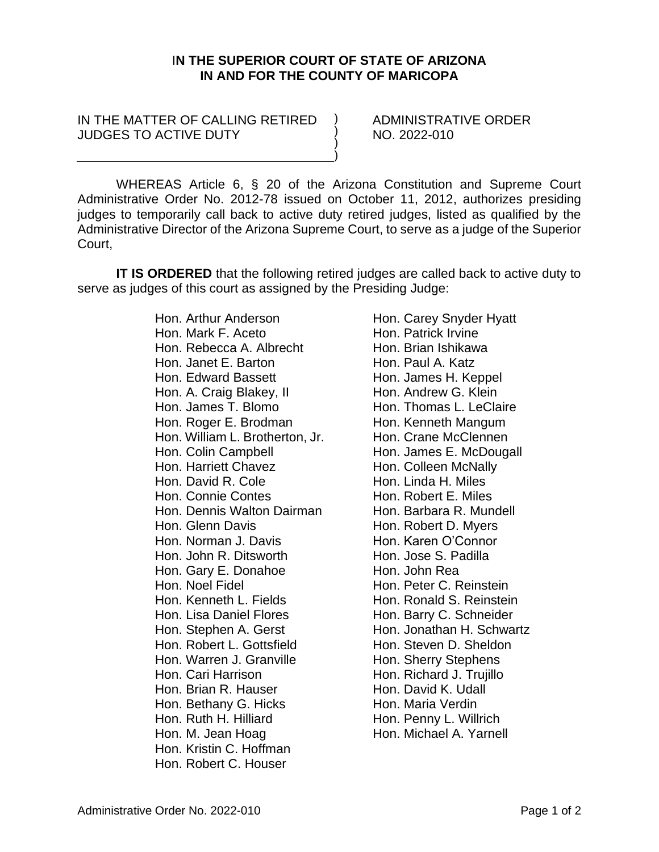## I**N THE SUPERIOR COURT OF STATE OF ARIZONA IN AND FOR THE COUNTY OF MARICOPA**

) ) ) )

## IN THE MATTER OF CALLING RETIRED JUDGES TO ACTIVE DUTY

ADMINISTRATIVE ORDER NO. 2022-010

WHEREAS Article 6, § 20 of the Arizona Constitution and Supreme Court Administrative Order No. 2012-78 issued on October 11, 2012, authorizes presiding judges to temporarily call back to active duty retired judges, listed as qualified by the Administrative Director of the Arizona Supreme Court, to serve as a judge of the Superior Court,

**IT IS ORDERED** that the following retired judges are called back to active duty to serve as judges of this court as assigned by the Presiding Judge:

> Hon. Arthur Anderson Hon. Mark F. Aceto Hon. Rebecca A. Albrecht Hon. Janet E. Barton Hon. Edward Bassett Hon. A. Craig Blakey, II Hon. James T. Blomo Hon. Roger E. Brodman Hon. William L. Brotherton, Jr. Hon. Colin Campbell Hon. Harriett Chavez Hon. David R. Cole Hon. Connie Contes Hon. Dennis Walton Dairman Hon. Glenn Davis Hon. Norman J. Davis Hon. John R. Ditsworth Hon. Gary E. Donahoe Hon. Noel Fidel Hon. Kenneth L. Fields Hon. Lisa Daniel Flores Hon. Stephen A. Gerst Hon. Robert L. Gottsfield Hon. Warren J. Granville Hon. Cari Harrison Hon. Brian R. Hauser Hon. Bethany G. Hicks Hon. Ruth H. Hilliard Hon. M. Jean Hoag Hon. Kristin C. Hoffman Hon. Robert C. Houser

Hon. Carey Snyder Hyatt Hon. Patrick Irvine Hon. Brian Ishikawa Hon. Paul A. Katz Hon. James H. Keppel Hon. Andrew G. Klein Hon. Thomas L. LeClaire Hon. Kenneth Mangum Hon. Crane McClennen Hon. James E. McDougall Hon. Colleen McNally Hon. Linda H. Miles Hon. Robert E. Miles Hon. Barbara R. Mundell Hon. Robert D. Myers Hon. Karen O'Connor Hon. Jose S. Padilla Hon. John Rea Hon. Peter C. Reinstein Hon. Ronald S. Reinstein Hon. Barry C. Schneider Hon. Jonathan H. Schwartz Hon. Steven D. Sheldon Hon. Sherry Stephens Hon. Richard J. Trujillo Hon. David K. Udall Hon. Maria Verdin Hon. Penny L. Willrich Hon. Michael A. Yarnell